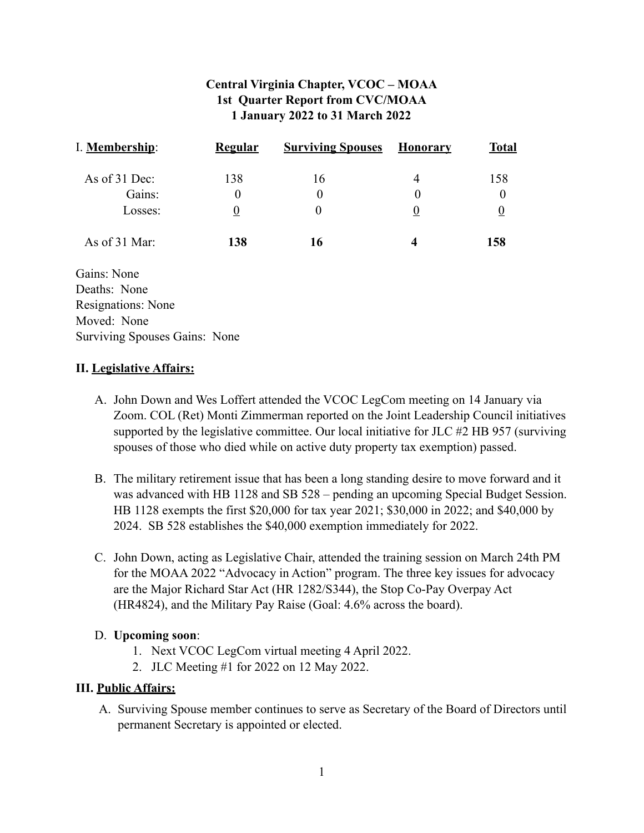# **Central Virginia Chapter, VCOC – MOAA 1st Quarter Report from CVC/MOAA 1 January 2022 to 31 March 2022**

| I. Membership:                | <b>Regular</b> | <b>Surviving Spouses</b> | <b>Honorary</b> | <b>Total</b>   |
|-------------------------------|----------------|--------------------------|-----------------|----------------|
| As of 31 Dec:                 | 138            | 16                       | 4               | 158            |
| Gains:                        | 0              | $\boldsymbol{0}$         | 0               | 0              |
| Losses:                       | $\overline{0}$ | $\theta$                 | $\overline{0}$  | $\overline{0}$ |
| As of 31 Mar:                 | 138            | 16                       | 4               | 158            |
| Gains: None                   |                |                          |                 |                |
| Deaths: None                  |                |                          |                 |                |
| Resignations: None            |                |                          |                 |                |
| Moved: None                   |                |                          |                 |                |
| Surviving Spouses Gains: None |                |                          |                 |                |

## **II. Legislative Affairs:**

- A. John Down and Wes Loffert attended the VCOC LegCom meeting on 14 January via Zoom. COL (Ret) Monti Zimmerman reported on the Joint Leadership Council initiatives supported by the legislative committee. Our local initiative for JLC #2 HB 957 (surviving spouses of those who died while on active duty property tax exemption) passed.
- B. The military retirement issue that has been a long standing desire to move forward and it was advanced with HB 1128 and SB 528 – pending an upcoming Special Budget Session. HB 1128 exempts the first \$20,000 for tax year 2021; \$30,000 in 2022; and \$40,000 by 2024. SB 528 establishes the \$40,000 exemption immediately for 2022.
- C. John Down, acting as Legislative Chair, attended the training session on March 24th PM for the MOAA 2022 "Advocacy in Action" program. The three key issues for advocacy are the Major Richard Star Act (HR 1282/S344), the Stop Co-Pay Overpay Act (HR4824), and the Military Pay Raise (Goal: 4.6% across the board).

## D. **Upcoming soon**:

- 1. Next VCOC LegCom virtual meeting 4 April 2022.
- 2. JLC Meeting #1 for 2022 on 12 May 2022.

## **III. Public Affairs:**

A. Surviving Spouse member continues to serve as Secretary of the Board of Directors until permanent Secretary is appointed or elected.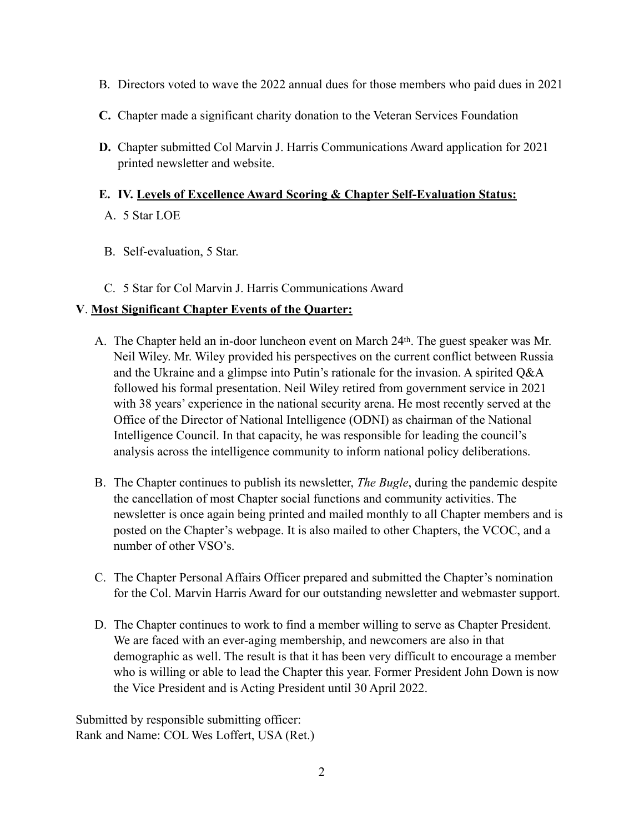- B. Directors voted to wave the 2022 annual dues for those members who paid dues in 2021
- **C.** Chapter made a significant charity donation to the Veteran Services Foundation
- **D.** Chapter submitted Col Marvin J. Harris Communications Award application for 2021 printed newsletter and website.

### **E. IV. Levels of Excellence Award Scoring & Chapter Self-Evaluation Status:**

- A. 5 Star LOE
- B. Self-evaluation, 5 Star.
- C. 5 Star for Col Marvin J. Harris Communications Award

## **V**. **Most Significant Chapter Events of the Quarter:**

- A. The Chapter held an in-door luncheon event on March 24th. The guest speaker was Mr. Neil Wiley. Mr. Wiley provided his perspectives on the current conflict between Russia and the Ukraine and a glimpse into Putin's rationale for the invasion. A spirited Q&A followed his formal presentation. Neil Wiley retired from government service in 2021 with 38 years' experience in the national security arena. He most recently served at the Office of the Director of National Intelligence (ODNI) as chairman of the National Intelligence Council. In that capacity, he was responsible for leading the council's analysis across the intelligence community to inform national policy deliberations.
- B. The Chapter continues to publish its newsletter, *The Bugle*, during the pandemic despite the cancellation of most Chapter social functions and community activities. The newsletter is once again being printed and mailed monthly to all Chapter members and is posted on the Chapter's webpage. It is also mailed to other Chapters, the VCOC, and a number of other VSO's.
- C. The Chapter Personal Affairs Officer prepared and submitted the Chapter's nomination for the Col. Marvin Harris Award for our outstanding newsletter and webmaster support.
- D. The Chapter continues to work to find a member willing to serve as Chapter President. We are faced with an ever-aging membership, and newcomers are also in that demographic as well. The result is that it has been very difficult to encourage a member who is willing or able to lead the Chapter this year. Former President John Down is now the Vice President and is Acting President until 30 April 2022.

Submitted by responsible submitting officer: Rank and Name: COL Wes Loffert, USA (Ret.)